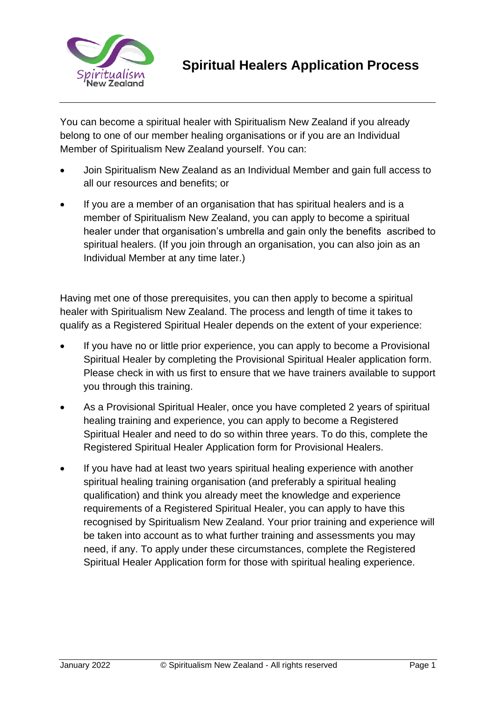

You can become a spiritual healer with Spiritualism New Zealand if you already belong to one of our member healing organisations or if you are an Individual Member of Spiritualism New Zealand yourself. You can:

- Join Spiritualism New Zealand as an Individual Member and gain full access to all our resources and benefits; or
- If you are a member of an organisation that has spiritual healers and is a member of Spiritualism New Zealand, you can apply to become a spiritual healer under that organisation's umbrella and gain only the benefits ascribed to spiritual healers. (If you join through an organisation, you can also join as an Individual Member at any time later.)

Having met one of those prerequisites, you can then apply to become a spiritual healer with Spiritualism New Zealand. The process and length of time it takes to qualify as a Registered Spiritual Healer depends on the extent of your experience:

- If you have no or little prior experience, you can apply to become a Provisional Spiritual Healer by completing the Provisional Spiritual Healer application form. Please check in with us first to ensure that we have trainers available to support you through this training.
- As a Provisional Spiritual Healer, once you have completed 2 years of spiritual healing training and experience, you can apply to become a Registered Spiritual Healer and need to do so within three years. To do this, complete the Registered Spiritual Healer Application form for Provisional Healers.
- If you have had at least two years spiritual healing experience with another spiritual healing training organisation (and preferably a spiritual healing qualification) and think you already meet the knowledge and experience requirements of a Registered Spiritual Healer, you can apply to have this recognised by Spiritualism New Zealand. Your prior training and experience will be taken into account as to what further training and assessments you may need, if any. To apply under these circumstances, complete the Registered Spiritual Healer Application form for those with spiritual healing experience.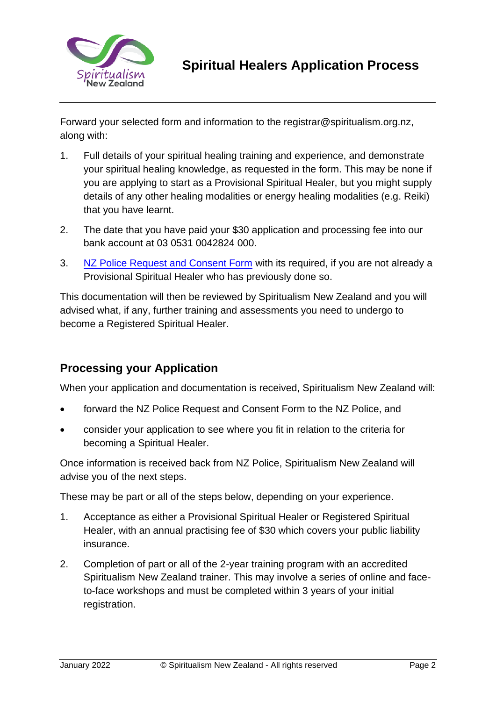

Forward your selected form and information to the registrar@spiritualism.org.nz, along with:

- 1. Full details of your spiritual healing training and experience, and demonstrate your spiritual healing knowledge, as requested in the form. This may be none if you are applying to start as a Provisional Spiritual Healer, but you might supply details of any other healing modalities or energy healing modalities (e.g. Reiki) that you have learnt.
- 2. The date that you have paid your \$30 application and processing fee into our bank account at 03 0531 0042824 000.
- 3. [NZ Police Request and Consent Form](file:///C:/Users/Barbara/Dropbox/Spiritualism%20NZ/website/2021%20website/Our%20Community/Healers/Healing/Registered%20Healers/Formatted%20forms%202022/Provisional%20Healer%20application%20form%20formatted.docx) with its required, if you are not already a Provisional Spiritual Healer who has previously done so.

This documentation will then be reviewed by Spiritualism New Zealand and you will advised what, if any, further training and assessments you need to undergo to become a Registered Spiritual Healer.

## **Processing your Application**

When your application and documentation is received, Spiritualism New Zealand will:

- forward the NZ Police Request and Consent Form to the NZ Police, and
- consider your application to see where you fit in relation to the criteria for becoming a Spiritual Healer.

Once information is received back from NZ Police, Spiritualism New Zealand will advise you of the next steps.

These may be part or all of the steps below, depending on your experience.

- 1. Acceptance as either a Provisional Spiritual Healer or Registered Spiritual Healer, with an annual practising fee of \$30 which covers your public liability insurance.
- 2. Completion of part or all of the 2-year training program with an accredited Spiritualism New Zealand trainer. This may involve a series of online and faceto-face workshops and must be completed within 3 years of your initial registration.